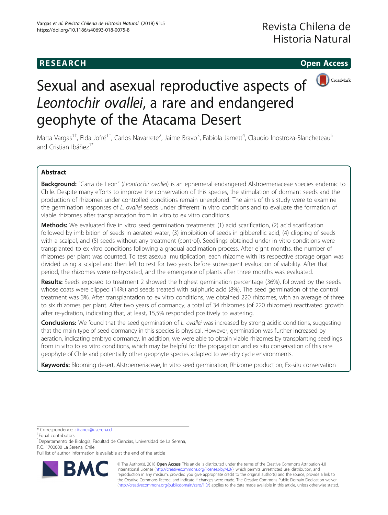## **RESEARCH CHINESE ARCH CHINESE ARCH**



# Sexual and asexual reproductive aspects of Leontochir ovallei, a rare and endangered geophyte of the Atacama Desert

Marta Vargas<sup>1†</sup>, Elda Jofré<sup>1†</sup>, Carlos Navarrete<sup>2</sup>, Jaime Bravo<sup>3</sup>, Fabiola Jamett<sup>4</sup>, Claudio Inostroza-Blancheteau<sup>5</sup> and Cristian Ibáñez<sup>1\*</sup>

### Abstract

Background: "Garra de Leon" (Leontochir ovallei) is an ephemeral endangered Alstroemeriaceae species endemic to Chile. Despite many efforts to improve the conservation of this species, the stimulation of dormant seeds and the production of rhizomes under controlled conditions remain unexplored. The aims of this study were to examine the germination responses of L. ovallei seeds under different in vitro conditions and to evaluate the formation of viable rhizomes after transplantation from in vitro to ex vitro conditions.

Methods: We evaluated five in vitro seed germination treatments: (1) acid scarification, (2) acid scarification followed by imbibition of seeds in aerated water, (3) imbibition of seeds in gibberellic acid, (4) clipping of seeds with a scalpel, and (5) seeds without any treatment (control). Seedlings obtained under in vitro conditions were transplanted to ex vitro conditions following a gradual acclimation process. After eight months, the number of rhizomes per plant was counted. To test asexual multiplication, each rhizome with its respective storage organ was divided using a scalpel and then left to rest for two years before subsequent evaluation of viability. After that period, the rhizomes were re-hydrated, and the emergence of plants after three months was evaluated.

Results: Seeds exposed to treatment 2 showed the highest germination percentage (36%), followed by the seeds whose coats were clipped (14%) and seeds treated with sulphuric acid (8%). The seed germination of the control treatment was 3%. After transplantation to ex vitro conditions, we obtained 220 rhizomes, with an average of three to six rhizomes per plant. After two years of dormancy, a total of 34 rhizomes (of 220 rhizomes) reactivated growth after re-ydration, indicating that, at least, 15,5% responded positively to watering.

**Conclusions:** We found that the seed germination of L. ovallei was increased by strong acidic conditions, suggesting that the main type of seed dormancy in this species is physical. However, germination was further increased by aeration, indicating embryo dormancy. In addition, we were able to obtain viable rhizomes by transplanting seedlings from in vitro to ex vitro conditions, which may be helpful for the propagation and ex situ conservation of this rare geophyte of Chile and potentially other geophyte species adapted to wet-dry cycle environments.

Keywords: Blooming desert, Alstroemeriaceae, In vitro seed germination, Rhizome production, Ex-situ conservation

\* Correspondence: [cibanez@userena.cl](mailto:cibanez@userena.cl) †

Equal contributors

<sup>1</sup>Departamento de Biología, Facultad de Ciencias, Universidad de La Serena, P.O. 1700000 La Serena, Chile

Full list of author information is available at the end of the article



© The Author(s). 2018 Open Access This article is distributed under the terms of the Creative Commons Attribution 4.0 International License [\(http://creativecommons.org/licenses/by/4.0/](http://creativecommons.org/licenses/by/4.0/)), which permits unrestricted use, distribution, and reproduction in any medium, provided you give appropriate credit to the original author(s) and the source, provide a link to the Creative Commons license, and indicate if changes were made. The Creative Commons Public Domain Dedication waiver [\(http://creativecommons.org/publicdomain/zero/1.0/](http://creativecommons.org/publicdomain/zero/1.0/)) applies to the data made available in this article, unless otherwise stated.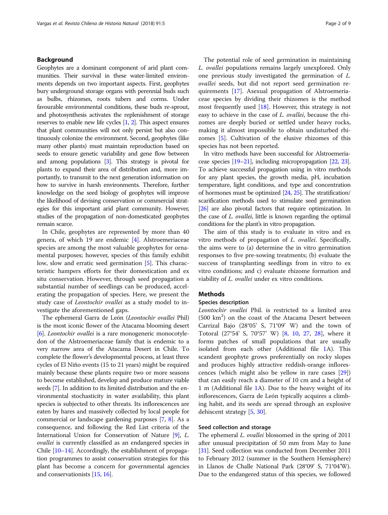#### Background

Geophytes are a dominant component of arid plant communities. Their survival in these water-limited environments depends on two important aspects. First, geophytes bury underground storage organs with perennial buds such as bulbs, rhizomes, roots tubers and corms. Under favourable environmental conditions, these buds re-sprout, and photosynthesis activates the replenishment of storage reserves to enable new life cycles [[1](#page-7-0), [2\]](#page-7-0). This aspect ensures that plant communities will not only persist but also continuously colonize the environment. Second, geophytes (like many other plants) must maintain reproduction based on seeds to ensure genetic variability and gene flow between and among populations [\[3\]](#page-7-0). This strategy is pivotal for plants to expand their area of distribution and, more importantly, to transmit to the next generation information on how to survive in harsh environments. Therefore, further knowledge on the seed biology of geophytes will improve the likelihood of devising conservation or commercial strategies for this important arid plant community. However, studies of the propagation of non-domesticated geophytes remain scarce.

In Chile, geophytes are represented by more than 40 genera, of which 19 are endemic  $[4]$  $[4]$ . Alstroemeriaceae species are among the most valuable geophytes for ornamental purposes; however, species of this family exhibit low, slow and erratic seed germination [[5\]](#page-7-0). This characteristic hampers efforts for their domestication and ex situ conservation. However, through seed propagation a substantial number of seedlings can be produced, accelerating the propagation of species. Here, we present the study case of Leontochir ovallei as a study model to investigate the aforementioned gaps.

The ephemeral Garra de León (Leontochir ovallei Phil) is the most iconic flower of the Atacama blooming desert [[6\]](#page-7-0). Leontochir ovallei is a rare monogeneric monocotyledon of the Alstroemeriaceae family that is endemic to a very narrow area of the Atacama Desert in Chile. To complete the flower's developmental process, at least three cycles of El Niño events (15 to 21 years) might be required mainly because these plants require two or more seasons to become established, develop and produce mature viable seeds [\[7](#page-7-0)]. In addition to its limited distribution and the environmental stochasticity in water availability, this plant species is subjected to other threats. Its inflorescences are eaten by hares and massively collected by local people for commercial or landscape gardening purposes [[7,](#page-7-0) [8](#page-7-0)]. As a consequence, and following the Red List criteria of the International Union for Conservation of Nature [\[9\]](#page-7-0), L. ovallei is currently classified as an endangered species in Chile [[10](#page-7-0)–[14\]](#page-7-0). Accordingly, the establishment of propagation programmes to assist conservation strategies for this plant has become a concern for governmental agencies and conservationists [\[15,](#page-8-0) [16](#page-8-0)].

The potential role of seed germination in maintaining L. ovallei populations remains largely unexplored. Only one previous study investigated the germination of L. ovallei seeds, but did not report seed germination requirements [[17\]](#page-8-0). Asexual propagation of Alstroemeriaceae species by dividing their rhizomes is the method most frequently used  $[18]$  $[18]$ . However, this strategy is not easy to achieve in the case of L. ovallei, because the rhizomes are deeply buried or settled under heavy rocks, making it almost impossible to obtain undisturbed rhizomes [[5\]](#page-7-0). Cultivation of the elusive rhizomes of this species has not been reported.

In vitro methods have been successful for Alstroemeriaceae species [\[19](#page-8-0)–[21\]](#page-8-0), including micropropagation [\[22](#page-8-0), [23](#page-8-0)]. To achieve successful propagation using in vitro methods for any plant species, the growth media, pH, incubation temperature, light conditions, and type and concentration of hormones must be optimized [[24](#page-8-0), [25](#page-8-0)]. The stratification/ scarification methods used to stimulate seed germination [[26](#page-8-0)] are also pivotal factors that require optimization. In the case of L. ovallei, little is known regarding the optimal conditions for the plant's in vitro propagation.

The aim of this study is to evaluate in vitro and ex vitro methods of propagation of L. ovallei. Specifically, the aims were to (a) determine the in vitro germination responses to five pre-sowing treatments; (b) evaluate the success of transplanting seedlings from in vitro to ex vitro conditions; and c) evaluate rhizome formation and viability of L. ovallei under ex vitro conditions.

#### Methods

#### Species description

Leontochir ovallei Phil. is restricted to a limited area (500 km<sup>2</sup>) on the coast of the Atacama Desert between Carrizal Bajo (28°05' S, 71°09' W) and the town of Totoral (27°54' S, 70°57' W) [\[8](#page-7-0), [10](#page-7-0), [27](#page-8-0), [28\]](#page-8-0), where it forms patches of small populations that are usually isolated from each other (Additional file [1](#page-7-0)A). This scandent geophyte grows preferentially on rocky slopes and produces highly attractive reddish-orange inflorescences (which might also be yellow in rare cases [\[29](#page-8-0)]) that can easily reach a diameter of 10 cm and a height of 1 m (Additional file [1A](#page-7-0)). Due to the heavy weight of its inflorescences, Garra de León typically acquires a climbing habit, and its seeds are spread through an explosive dehiscent strategy [\[5](#page-7-0), [30](#page-8-0)].

#### Seed collection and storage

The ephemeral *L. ovallei* blossomed in the spring of 2011 after unusual precipitation of 50 mm from May to June [[31](#page-8-0)]. Seed collection was conducted from December 2011 to February 2012 (summer in the Southern Hemisphere) in Llanos de Challe National Park (28°09' S, 71°04'W). Due to the endangered status of this species, we followed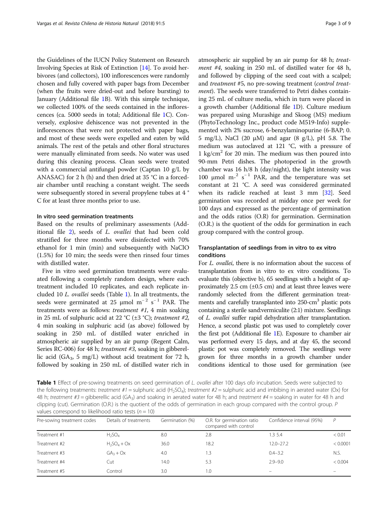<span id="page-2-0"></span>the Guidelines of the IUCN Policy Statement on Research Involving Species at Risk of Extinction [[14](#page-7-0)]. To avoid herbivores (and collectors), 100 inflorescences were randomly chosen and fully covered with paper bags from December (when the fruits were dried-out and before bursting) to January (Additional file [1B](#page-7-0)). With this simple technique, we collected 100% of the seeds contained in the inflorescences (ca. 5000 seeds in total; Additional file [1](#page-7-0)C). Conversely, explosive dehiscence was not prevented in the inflorescences that were not protected with paper bags, and most of these seeds were expelled and eaten by wild animals. The rest of the petals and other floral structures were manually eliminated from seeds. No water was used during this cleaning process. Clean seeds were treated with a commercial antifungal powder (Captan 10 g/L by ANASAC) for 2 h (h) and then dried at 35 °C in a forcedair chamber until reaching a constant weight. The seeds were subsequently stored in several propylene tubes at 4 ° C for at least three months prior to use.

#### In vitro seed germination treatments

Based on the results of preliminary assessments (Additional file [2\)](#page-7-0), seeds of L. ovallei that had been cold stratified for three months were disinfected with 70% ethanol for 1 min (min) and subsequently with NaClO (1.5%) for 10 min; the seeds were then rinsed four times with distilled water.

Five in vitro seed germination treatments were evaluated following a completely random design, where each treatment included 10 replicates, and each replicate included 10 L. ovallei seeds (Table 1). In all treatments, the seeds were germinated at 25 µmol  $m^{-2}$  s<sup>-1</sup> PAR. The treatments were as follows: treatment #1, 4 min soaking in 25 mL of sulphuric acid at 22 °C ( $\pm$ 3 °C); treatment #2, 4 min soaking in sulphuric acid (as above) followed by soaking in 250 mL of distilled water enriched in atmospheric air supplied by an air pump (Regent Calm, Series RC-006) for 48 h; treatment #3, soaking in gibberellic acid (GA<sub>3</sub>, 5 mg/L) without acid treatment for 72 h, followed by soaking in 250 mL of distilled water rich in atmospheric air supplied by an air pump for 48 h; treatment #4, soaking in 250 mL of distilled water for 48 h, and followed by clipping of the seed coat with a scalpel; and *treatment* #5, no pre-sowing treatment (*control treat*ment). The seeds were transferred to Petri dishes containing 25 mL of culture media, which in turn were placed in a growth chamber (Additional file [1](#page-7-0)D). Culture medium was prepared using Murashige and Skoog (MS) medium (PhytoTechnology Inc., product code M519-Info) supplemented with 2% sucrose, 6-benzylaminopurine (6-BAP; 0. 5 mg/L), NaCl (20 μM) and agar (8 g/L), pH 5.8. The medium was autoclaved at 121 °C, with a pressure of 1 kg/cm<sup>2</sup> for 20 min. The medium was then poured into 90-mm Petri dishes. The photoperiod in the growth chamber was 16 h/8 h (day/night), the light intensity was 100 μmol m<sup>-2</sup> s<sup>-1</sup> PAR, and the temperature was set constant at 21 °C. A seed was considered germinated when its radicle reached at least 3 mm [\[32\]](#page-8-0). Seed germination was recorded at midday once per week for 100 days and expressed as the percentage of germination and the odds ratios (O.R) for germination. Germination (O.R.) is the quotient of the odds for germination in each group compared with the control group.

#### Transplantation of seedlings from in vitro to ex vitro conditions

For L. ovallei, there is no information about the success of transplantation from in vitro to ex vitro conditions. To evaluate this (objective b), 65 seedlings with a height of approximately  $2.5$  cm  $(\pm 0.5 \text{ cm})$  and at least three leaves were randomly selected from the different germination treatments and carefully transplanted into 250-cm<sup>3</sup> plastic pots containing a sterile sand:vermiculite (2:1) mixture. Seedlings of L. ovallei suffer rapid dehydration after transplantation. Hence, a second plastic pot was used to completely cover the first pot (Additional file [1E](#page-7-0)). Exposure to chamber air was performed every 15 days, and at day 45, the second plastic pot was completely removed. The seedlings were grown for three months in a growth chamber under conditions identical to those used for germination (see

Table 1 Effect of pre-sowing treatments on seed germination of L. ovallei after 100 days ofo incubation. Seeds were subjected to the following treatments: treatment #1 = sulphuric acid (H<sub>2</sub>SO<sub>4</sub>); treatment #2 = sulphuric acid and imbibing in aerated water (Ox) for 48 h; treatment #3 = gibberellic acid (GA<sub>3</sub>) and soaking in aerated water for 48 h; and treatment #4 = soaking in water for 48 h and clipping (cut). Germination (O.R.) is the quotient of the odds of germination in each group compared with the control group. P values correspond to likelihood ratio tests ( $n = 10$ )

| Pre-sowing treatment codes | Details of treatments | Germination (%) | O.R. for germination ratio<br>compared with control | Confidence interval (95%) | P        |
|----------------------------|-----------------------|-----------------|-----------------------------------------------------|---------------------------|----------|
| Treatment #1               | $H_2SO_4$             | 8.0             | 2.8                                                 | 1.3 5.4                   | < 0.01   |
| Treatment #2               | $H_2SO_4 + Ox$        | 36.0            | 18.2                                                | $12.0 - 27.2$             | < 0.0001 |
| Treatment #3               | $GA_3 + Ox$           | 4.0             | .3                                                  | $0.4 - 3.2$               | N.S.     |
| Treatment #4               | Cut                   | 14.0            | 5.3                                                 | $2.9 - 9.0$               | < 0.004  |
| Treatment #5               | Control               | 3.0             | 1.0                                                 | $\overline{\phantom{0}}$  |          |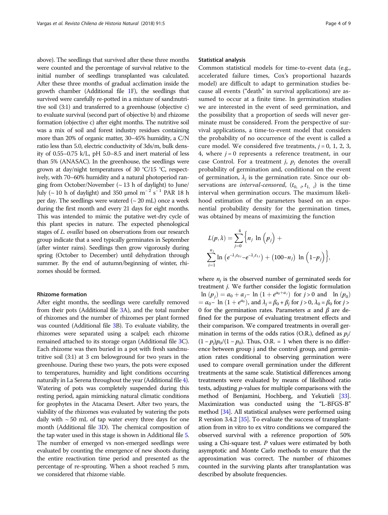above). The seedlings that survived after these three months were counted and the percentage of survival relative to the initial number of seedlings transplanted was calculated. After these three months of gradual acclimation inside the growth chamber (Additional file [1](#page-7-0)F), the seedlings that survived were carefully re-potted in a mixture of sand:nutritive soil (3:1) and transferred to a greenhouse (objective c) to evaluate survival (second part of objective b) and rhizome formation (objective c) after eight months. The nutritive soil was a mix of soil and forest industry residues containing more than 20% of organic matter, 30–45% humidity, a C/N ratio less than 5.0, electric conductivity of 3ds/m, bulk density of 0.55–0.75 k/L, pH 5.0–8.5 and inert material of less than 5% (ANASAC). In the greenhouse, the seedlings were grown at day/night temperatures of 30 °C/15 °C, respectively, with 70–60% humidity and a natural photoperiod ranging from October/November  $({\sim} 13$  h of daylight) to June/ July (~ 10 h of daylight) and 350 µmol  $m^{-2}$  s<sup>-1</sup> PAR 18 h per day. The seedlings were watered  $({\sim} 20 \text{ mL})$  once a week during the first month and every 21 days for eight months. This was intended to mimic the putative wet-dry cycle of this plant species in nature. The expected phenological stages of L. ovallei based on observations from our research group indicate that a seed typically germinates in September (after winter rains). Seedlings then grow vigorously during spring (October to December) until dehydration through summer. By the end of autumn/beginning of winter, rhizomes should be formed.

#### Rhizome formation

After eight months, the seedlings were carefully removed from their pots (Additional file [3](#page-7-0)A), and the total number of rhizomes and the number of rhizomes per plant formed was counted (Additional file [3B](#page-7-0)). To evaluate viability, the rhizomes were separated using a scalpel; each rhizome remained attached to its storage organ (Additional file [3C](#page-7-0)). Each rhizome was then buried in a pot with fresh sand:nutritive soil (3:1) at 3 cm belowground for two years in the greenhouse. During these two years, the pots were exposed to temperatures, humidity and light conditions occurring naturally in La Serena throughout the year (Additional file [4](#page-7-0)). Watering of pots was completely suspended during this resting period, again mimicking natural climatic conditions for geophytes in the Atacama Desert. After two years, the viability of the rhizomes was evaluated by watering the pots daily with  $\sim$  50 mL of tap water every three days for one month (Additional file [3D](#page-7-0)). The chemical composition of the tap water used in this stage is shown in Additional file [5](#page-7-0). The number of emerged vs non-emerged seedlings were evaluated by counting the emergence of new shoots during the entire reactivation time period and presented as the percentage of re-sprouting. When a shoot reached 5 mm, we considered that rhizome viable.

#### Statistical analysis

Common statistical models for time-to-event data (e.g., accelerated failure times, Cox's proportional hazards model) are difficult to adapt to germination studies because all events ("death" in survival applications) are assumed to occur at a finite time. In germination studies we are interested in the event of seed germination, and the possibility that a proportion of seeds will never germinate must be considered. From the perspective of survival applications, a time-to-event model that considers the probability of no occurrence of the event is called a cure model. We considered five treatments,  $j = 0, 1, 2, 3$ , 4, where  $j = 0$  represents a reference treatment, in our case Control. For a treatment *j*,  $p_i$  denotes the overall probability of germination and, conditional on the event of germination,  $\lambda_i$  is the germination rate. Since our observations are *interval-censored*,  $(t_{0}, t_{1}, t_{1})$  is the time interval when germination occurs. The maximum likelihood estimation of the parameters based on an exponential probability density for the germination times, was obtained by means of maximizing the function

$$
L(p,\lambda) = \sum_{j=0}^{4} \left\{ n_j \ln (p_j) + \sum_{i=1}^{n_j} \ln (e^{-\lambda_j t_{0,i}} - e^{-\lambda_j t_{1,i}}) + (100 - n_j) \ln (1-p_j) \right\},\,
$$

where  $n_i$  is the observed number of germinated seeds for treatment j. We further consider the logistic formulation  $\ln (p_j) = \alpha_0 + \alpha_j - \ln (1 + e^{\alpha_0 + \alpha_j})$  for  $j > 0$  and  $\ln (p_0)$ <br> $\alpha_0 = \alpha_0 - \ln (1 + e^{\alpha_0})$  and  $\lambda_1 = \beta_1 + \beta_2$  for  $i > 0$ ,  $\lambda_2 = \beta_2$  for  $i > 0$  $=\alpha_0$ <sup>-</sup> ln  $(1 + e^{\alpha_0})$ , and  $\lambda_i = \beta_0 + \beta_i$  for  $j > 0$ ,  $\lambda_0 = \beta_0$  for  $j >$ 0 for the germination rates. Parameters  $\alpha$  and  $\beta$  are defined for the purpose of evaluating treatment effects and their comparison. We compared treatments in overall germination in terms of the odds ratios (O.R.), defined as  $p_i/$  $(1-p_i)p_0/(1-p_0)$ . Thus, O.R. = 1 when there is no difference between group j and the control group, and germination rates conditional to observing germination were used to compare overall germination under the different treatments at the same scale. Statistical differences among treatments were evaluated by means of likelihood ratio tests, adjusting p-values for multiple comparisons with the method of Benjamini, Hochberg, and Yekutieli [[33](#page-8-0)]. Maximization was conducted using the "L-BFGS-B" method [[34](#page-8-0)]. All statistical analyses were performed using R version 3.4.2 [[35](#page-8-0)]. To evaluate the success of transplantation from in vitro to ex vitro conditions we compared the observed survival with a reference proportion of 50% using a Chi-square test.  $P$  values were estimated by both asymptotic and Monte Carlo methods to ensure that the approximation was correct. The number of rhizomes counted in the surviving plants after transplantation was described by absolute frequencies.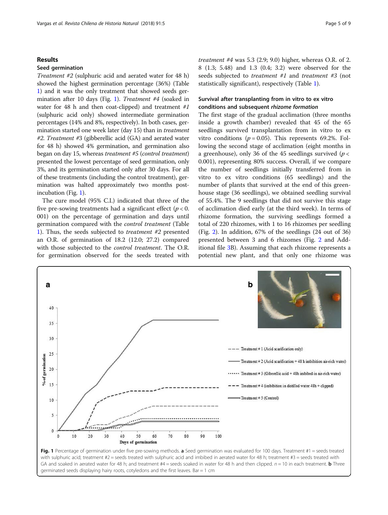#### Results

#### Seed germination

Treatment #2 (sulphuric acid and aerated water for 48 h) showed the highest germination percentage (36%) (Table [1\)](#page-2-0) and it was the only treatment that showed seeds germination after 10 days (Fig. 1). Treatment #4 (soaked in water for 48 h and then coat-clipped) and treatment #1 (sulphuric acid only) showed intermediate germination percentages (14% and 8%, respectively). In both cases, germination started one week later (day 15) than in treatment #2. Treatment #3 (gibberellic acid (GA) and aerated water for 48 h) showed 4% germination, and germination also began on day 15, whereas treatment #5 (control treatment) presented the lowest percentage of seed germination, only 3%, and its germination started only after 30 days. For all of these treatments (including the control treatment), germination was halted approximately two months postincubation (Fig. 1).

The cure model (95% C.I.) indicated that three of the five pre-sowing treatments had a significant effect ( $p < 0$ . 001) on the percentage of germination and days until germination compared with the control treatment (Table [1\)](#page-2-0). Thus, the seeds subjected to treatment #2 presented an O.R. of germination of 18.2 (12.0; 27.2) compared with those subjected to the control treatment. The O.R. for germination observed for the seeds treated with treatment  $#4$  was 5.3 (2.9; 9.0) higher, whereas O.R. of 2. 8 (1.3; 5.48) and 1.3 (0.4; 3.2) were observed for the seeds subjected to treatment #1 and treatment #3 (not statistically significant), respectively (Table [1](#page-2-0)).

#### Survival after transplanting from in vitro to ex vitro conditions and subsequent rhizome formation

The first stage of the gradual acclimation (three months inside a growth chamber) revealed that 45 of the 65 seedlings survived transplantation from in vitro to ex vitro conditions ( $p = 0.05$ ). This represents 69.2%. Following the second stage of acclimation (eight months in a greenhouse), only 36 of the 45 seedlings survived ( $p <$ 0.001), representing 80% success. Overall, if we compare the number of seedlings initially transferred from in vitro to ex vitro conditions (65 seedlings) and the number of plants that survived at the end of this greenhouse stage (36 seedlings), we obtained seedling survival of 55.4%. The 9 seedlings that did not survive this stage of acclimation died early (at the third week). In terms of rhizome formation, the surviving seedlings formed a total of 220 rhizomes, with 1 to 16 rhizomes per seedling (Fig. [2\)](#page-5-0). In addition, 67% of the seedlings (24 out of 36) presented between 3 and 6 rhizomes (Fig. [2](#page-5-0) and Additional file [3B](#page-7-0)). Assuming that each rhizome represents a potential new plant, and that only one rhizome was



with sulphuric acid; treatment #2 = seeds treated with sulphuric acid and imbibed in aerated water for 48 h; treatment #3 = seeds treated with GA and soaked in aerated water for 48 h; and treatment #4 = seeds soaked in water for 48 h and then clipped.  $n = 10$  in each treatment. **b** Three germinated seeds displaying hairy roots, cotyledons and the first leaves. Bar = 1 cm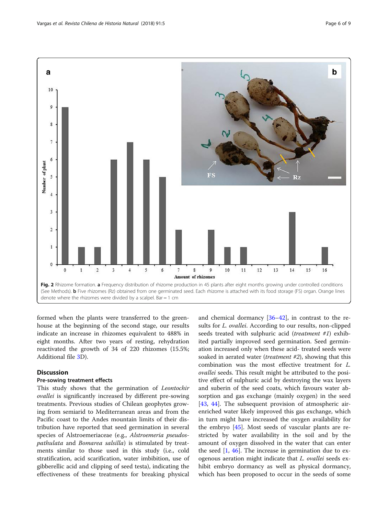<span id="page-5-0"></span>

formed when the plants were transferred to the greenhouse at the beginning of the second stage, our results indicate an increase in rhizomes equivalent to 488% in eight months. After two years of resting, rehydration reactivated the growth of 34 of 220 rhizomes (15.5%; Additional file [3](#page-7-0)D).

#### **Discussion**

#### Pre-sowing treatment effects

This study shows that the germination of Leontochir ovallei is significantly increased by different pre-sowing treatments. Previous studies of Chilean geophytes growing from semiarid to Mediterranean areas and from the Pacific coast to the Andes mountain limits of their distribution have reported that seed germination in several species of Alstroemeriaceae (e.g., Alstroemeria pseudospathulata and Bomarea salsilla) is stimulated by treatments similar to those used in this study (i.e., cold stratification, acid scarification, water imbibition, use of gibberellic acid and clipping of seed testa), indicating the effectiveness of these treatments for breaking physical and chemical dormancy [[36](#page-8-0)–[42](#page-8-0)], in contrast to the results for *L. ovallei*. According to our results, non-clipped seeds treated with sulphuric acid (treatment #1) exhibited partially improved seed germination. Seed germination increased only when these acid- treated seeds were soaked in aerated water (*treatment #2*), showing that this combination was the most effective treatment for L. ovallei seeds. This result might be attributed to the positive effect of sulphuric acid by destroying the wax layers and suberin of the seed coats, which favours water absorption and gas exchange (mainly oxygen) in the seed [[43,](#page-8-0) [44](#page-8-0)]. The subsequent provision of atmospheric airenriched water likely improved this gas exchange, which in turn might have increased the oxygen availability for the embryo  $[45]$  $[45]$ . Most seeds of vascular plants are restricted by water availability in the soil and by the amount of oxygen dissolved in the water that can enter the seed  $[1, 46]$  $[1, 46]$  $[1, 46]$  $[1, 46]$ . The increase in germination due to exogenous aeration might indicate that L. ovallei seeds exhibit embryo dormancy as well as physical dormancy, which has been proposed to occur in the seeds of some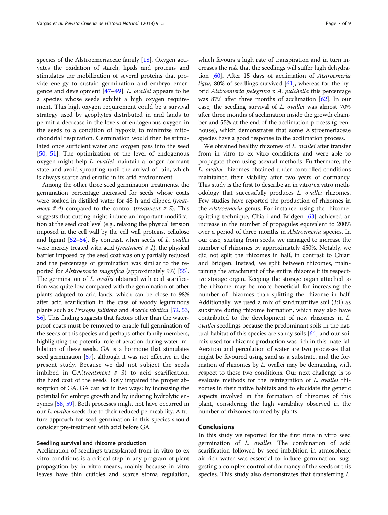species of the Alstroemeriaceae family [[18\]](#page-8-0). Oxygen activates the oxidation of starch, lipids and proteins and stimulates the mobilization of several proteins that provide energy to sustain germination and embryo emergence and development [[47](#page-8-0)–[49](#page-8-0)]. L. ovallei appears to be a species whose seeds exhibit a high oxygen requirement. This high oxygen requirement could be a survival strategy used by geophytes distributed in arid lands to permit a decrease in the levels of endogenous oxygen in the seeds to a condition of hypoxia to minimize mitochondrial respiration. Germination would then be stimulated once sufficient water and oxygen pass into the seed [[50,](#page-8-0) [51\]](#page-8-0). The optimization of the level of endogenous oxygen might help L. ovallei maintain a longer dormant state and avoid sprouting until the arrival of rain, which is always scarce and erratic in its arid environment.

Among the other three seed germination treatments, the germination percentage increased for seeds whose coats were soaked in distilled water for 48 h and clipped (treat*ment # 4*) compared to the control (*treatment # 5*). This suggests that cutting might induce an important modification at the seed coat level (e.g., relaxing the physical tension imposed in the cell wall by the cell wall proteins, cellulose and lignin)  $[52-54]$  $[52-54]$  $[52-54]$ . By contrast, when seeds of *L. ovallei* were merely treated with acid (*treatment*  $# 1$ ), the physical barrier imposed by the seed coat was only partially reduced and the percentage of germination was similar to the reported for Alstroemeria magnifica (approximately 9%) [\[55](#page-8-0)]. The germination of *L. ovallei* obtained with acid scarification was quite low compared with the germination of other plants adapted to arid lands, which can be close to 98% after acid scarification in the case of woody leguminous plants such as Prosopis juliflora and Acacia nilotica [[52](#page-8-0), [53](#page-8-0), [56](#page-8-0)]. This finding suggests that factors other than the waterproof coats must be removed to enable full germination of the seeds of this species and perhaps other family members, highlighting the potential role of aeration during water imbibition of these seeds. GA is a hormone that stimulates seed germination [\[57\]](#page-8-0), although it was not effective in the present study. Because we did not subject the seeds imbibed in  $GA(treatment \# 3)$  to acid scarification, the hard coat of the seeds likely impaired the proper absorption of GA. GA can act in two ways: by increasing the potential for embryo growth and by inducing hydrolytic enzymes [\[58](#page-8-0), [59](#page-8-0)]. Both processes might not have occurred in our L. ovallei seeds due to their reduced permeability. A future approach for seed germination in this species should consider pre-treatment with acid before GA.

#### Seedling survival and rhizome production

Acclimation of seedlings transplanted from in vitro to ex vitro conditions is a critical step in any program of plant propagation by in vitro means, mainly because in vitro leaves have thin cuticles and scarce stoma regulation, which favours a high rate of transpiration and in turn increases the risk that the seedlings will suffer high dehydration [[60](#page-8-0)]. After 15 days of acclimation of Alstroemeria *ligtu*, 80% of seedlings survived  $[61]$  $[61]$  $[61]$ , whereas for the hybrid Alstroemeria pelegrina x A. pulchella this percentage was 87% after three months of acclimation [[62](#page-8-0)]. In our case, the seedling survival of L. ovallei was almost 70% after three months of acclimation inside the growth chamber and 55% at the end of the acclimation process (greenhouse), which demonstrates that some Alstroemeriaceae species have a good response to the acclimation process.

We obtained healthy rhizomes of *L. ovallei* after transfer from in vitro to ex vitro conditions and were able to propagate them using asexual methods. Furthermore, the L. ovallei rhizomes obtained under controlled conditions maintained their viability after two years of dormancy. This study is the first to describe an in vitro/ex vitro methodology that successfully produces L. ovallei rhizomes. Few studies have reported the production of rhizomes in the Alstroemeria genus. For instance, using the rhizomesplitting technique, Chiari and Bridgen [\[63\]](#page-8-0) achieved an increase in the number of propagules equivalent to 200% over a period of three months in Alstroemeria species. In our case, starting from seeds, we managed to increase the number of rhizomes by approximately 450%. Notably, we did not split the rhizomes in half, in contrast to Chiari and Bridgen. Instead, we split between rhizomes, maintaining the attachment of the entire rhizome it its respective storage organ. Keeping the storage organ attached to the rhizome may be more beneficial for increasing the number of rhizomes than splitting the rhizome in half. Additionally, we used a mix of sand:nutritive soil (3:1) as substrate during rhizome formation, which may also have contributed to the development of new rhizomes in L. ovallei seedlings because the predominant soils in the natural habitat of this species are sandy soils [\[64\]](#page-8-0) and our soil mix used for rhizome production was rich in this material. Aeration and percolation of water are two processes that might be favoured using sand as a substrate, and the formation of rhizomes by L. ovallei may be demanding with respect to these two conditions. Our next challenge is to evaluate methods for the reintegration of L. ovallei rhizomes in their native habitats and to elucidate the genetic aspects involved in the formation of rhizomes of this plant, considering the high variability observed in the number of rhizomes formed by plants.

#### Conclusions

In this study we reported for the first time in vitro seed germination of L. ovallei. The combination of acid scarification followed by seed imbibition in atmospheric air-rich water was essential to induce germination, suggesting a complex control of dormancy of the seeds of this species. This study also demonstrates that transferring L.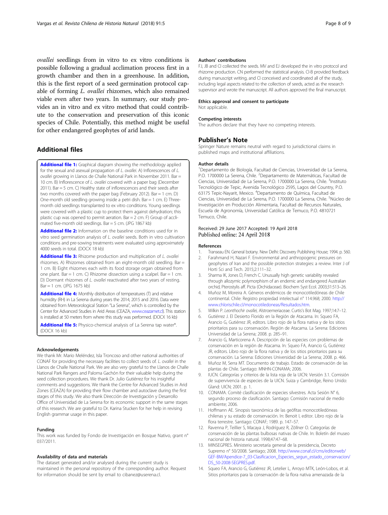<span id="page-7-0"></span>ovallei seedlings from in vitro to ex vitro conditions is possible following a gradual acclimation process first in a growth chamber and then in a greenhouse. In addition, this is the first report of a seed germination protocol capable of forming L. ovallei rhizomes, which also remained viable even after two years. In summary, our study provides an in vitro and ex vitro method that could contribute to the conservation and preservation of this iconic species of Chile. Potentially, this method might be useful for other endangered geophytes of arid lands.

#### Additional files

[Additional file 1:](https://doi.org/10.1186/s40693-018-0075-8) Graphical diagram showing the methodology applied for the sexual and asexual propagation of L. ovallei. A) Inflorescences of L. ovallei growing in Llanos de Challe National Park in November 2011. Bar = 10 cm. B) Inflorescence of L. ovallei covered with a paper bag (December 2011). Bar = 5 cm. C) Healthy state of inflorescences and their seeds after two months covered with the paper bag (February 2012). Bar = 1 cm. D) One-month old seedling growing inside a petri dish. Bar = 1 cm. E) Threemonth old seedlings transplanted to ex vitro conditions. Young seedlings were covered with a plastic cup to protect them against dehydration; this plastic cup was opened to permit aeration. Bar = 2 cm. F) Group of acclimated five-month old seedlings. Bar = 5 cm. (JPG 1867 kb)

[Additional file 2:](https://doi.org/10.1186/s40693-018-0075-8) Information on the baseline conditions used for in vitro seed germination analysis of L. ovallei seeds. Both in vitro cultivation conditions and pre-sowing treatments were evaluated using approximately 4000 seeds in total. (DOCX 18 kb)

[Additional file 3:](https://doi.org/10.1186/s40693-018-0075-8) Rhizome production and multiplication of L. ovallei rhizomes. A) Rhizomes obtained from an eight-month old seedling. Bar = 1 cm. B) Eight rhizomes each with its food storage organ obtained from one plant. Bar = 1 cm. C) Rhizome dissection using a scalpel. Bar = 1 cm. D) Dormant rhizomes of L. ovallei reactivated after two years of resting. Bar = 1 cm. (JPG 1675 kb)

[Additional file 4:](https://doi.org/10.1186/s40693-018-0075-8) Monthly distribution of temperatures (T) and relative humidity (RH) in La Serena during years the 2014, 2015 and 2016. Data were obtained from Meteorological Station "La Serena", which is controlled by the Center for Advanced Studies in Arid Areas (CEAZA, [www.ceazamet.cl\)](http://www.ceazamet.cl). This station is installed at 50 meters from where this study was performed. (DOCX 16 kb)

[Additional file 5:](https://doi.org/10.1186/s40693-018-0075-8) Physico-chemical analysis of La Serena tap water\*. (DOCX 16 kb)

#### Acknowledgements

We thank Mr. Mario Meléndez, Isla Troncoso and other national authorities of CONAF for providing the necessary facilities to collect seeds of. L. ovallei in the Llanos de Challe National Park. We are also very grateful to the Llanos de Challe National Park Rangers and Paloma Gachón for their valuable help during the seed collection procedures. We thank Dr. Julio Gutiérrez for his insightful comments and suggestions. We thank the Centre for Advanced Studies in Arid Zones (CEAZA) for providing their flow chamber and autoclave during the first stages of this study. We also thank Dirección de Investigación y Desarrollo Office of Universidad de La Serena for its economic support in the same stages of this research. We are grateful to Dr. Karina Stucken for her help in revising English grammar usage in this paper.

#### Funding

This work was funded by Fondo de Investigación en Bosque Nativo, grant n° 037/2011.

#### Availability of data and materials

The dataset generated and/or analysed during the current study is maintained in the personal repository of the corresponding author. Request for information should be sent by email to cibanez@userena.cl.

#### Authors' contributions

FJ, JB and CI collected the seeds. MV and EJ developed the in vitro protocol and rhizome production. CN performed the statistical analysis. CI-B provided feedback during manuscript writing, and CI conceived and coordinated all of the study, including legal aspects related to the collection of seeds, acted as the research supervisor and wrote the manuscript. All authors approved the final manuscript.

#### Ethics approval and consent to participate

Not applicable.

#### Competing interests

The authors declare that they have no competing interests.

#### Publisher's Note

Springer Nature remains neutral with regard to jurisdictional claims in published maps and institutional affiliations.

#### Author details

<sup>1</sup>Departamento de Biología, Facultad de Ciencias, Universidad de La Serena, P.O. 1700000 La Serena, Chile. <sup>2</sup>Departamento de Matemáticas, Facultad de Ciencias, Universidad de La Serena, P.O. 1700000 La Serena, Chile. <sup>3</sup>Institutc Tecnológico de Tepic, Avenida Tecnológico 2595, Lagos del Country, P.O. 63175 Tepic-Nayarit, Mexico. <sup>4</sup> Departamento de Química, Facultad de Ciencias, Universidad de La Serena, P.O. 1700000 La Serena, Chile. <sup>5</sup>Núcleo de Investigación en Producción Alimentaria, Facultad de Recursos Naturales, Escuela de Agronomía, Universidad Católica de Temuco, P.O. 4810721 Temuco, Chile.

#### Received: 29 June 2017 Accepted: 19 April 2018 Published online: 24 April 2018

#### References

- 1. Transeau EN. General botany. New Delhi: Discovery Publishing House; 1994. p. 560.
- 2. Farahmand H, Nazari F. Environmental and anthropogenic pressures on geophytes of Iran and the possible protection strategies: a review. Inter J of Horti Sci and Tech. 2015;2:111–32.
- 3. Sharma IK, Jones D, French C. Unusually high genetic variability revealed through allozymic polymorphism of an endemic and endangered Australian orchid, Pterostylis aff. Picta (Orchidaceae). Biochem Syst Ecol. 2003;31:513–26.
- 4. Muñoz M, Moreira A. Géneros endémicos de monocotiledóneas de Chile continental. Chile: Registro propiedad intelectual n° 114.968; 2000. [http://](http://www.chlorischile.cl/monocotiledoneas/Resultados.htm) [www.chlorischile.cl/monocotiledoneas/Resultados.htm.](http://www.chlorischile.cl/monocotiledoneas/Resultados.htm)
- 5. Wilkin P. Leonthochir ovallei, Alstroemeriaceae. Curtis's Bot Mag. 1997;14:7–12.
- 6. Gutiérrez J. El Desierto Florido en la Región de Atacama. In: Squeo FA, Arancio G, Gutiérrez JR, editors. Libro rojo de la flora nativa y de los sitios prioritarios para su conservación. Región de Atacama. La Serena: Ediciones Universidad de La Serena; 2008. p. 285–91.
- 7. Arancio G, Marticorena A. Descripción de las especies con problemas de conservación en la región de Atacama. In: Squeo FA, Arancio G, Gutiérrez JR, editors. Libro rojo de la flora nativa y de los sitios prioritarios para su conservación. La Serena: Ediciones Universidad de La Serena; 2008. p. 466.
- 8. Muñoz M, Serra MT. Documento de trabajo. Estado de conservación de las plantas de Chile. Santiago: MNHN-CONAMA; 2006.
- 9. IUCN. Categorías y criterios de la lista roja de la UICN: Versión 3.1. Comisión de supervivencia de especies de la UICN. Suiza y Cambridge, Reino Unido: Gland: UICN; 2001. p. 1.
- 10. CONAMA. Comité clasificación de especies silvestres. Acta Sesión N° 6, segundo proceso de clasificación. Santiago: Comisión nacional de medio ambiente; 2006.
- 11. Hoffmann AE. Sinopsis taxonómica de las geófitas monocotiledóneas chilenas y su estado de conservación. In: Benoit I, editor. Libro rojo de la flora terrestre. Santiago: CONAF; 1989. p. 147–57.
- 12. Ravenna P, Teillier S, Macaya J, Rodríguez R, Zöllner O. Categorías de conservación de las plantas bulbosas nativas de Chile. In: Boletín del museo nacional de historia natural. 1998;47:47–68.
- 13. MINSEGPRES. Ministerio secretaría general de la presidencia, Decreto Supremo n° 50/2008. Santiago; 2008. [http://www.conaf.cl/cms/editorweb/](http://www.conaf.cl/cms/editorweb/GEF-BM/Apendice-7_03-Clasificacion_Especies_segun_estado_conservacion/DS_50-2008-SEGPRES.pdf) [GEF-BM/Apendice-7\\_03-Clasificacion\\_Especies\\_segun\\_estado\\_conservacion/](http://www.conaf.cl/cms/editorweb/GEF-BM/Apendice-7_03-Clasificacion_Especies_segun_estado_conservacion/DS_50-2008-SEGPRES.pdf) [DS\\_50-2008-SEGPRES.pdf](http://www.conaf.cl/cms/editorweb/GEF-BM/Apendice-7_03-Clasificacion_Especies_segun_estado_conservacion/DS_50-2008-SEGPRES.pdf).
- 14. Squeo FA, Arancio G, Gutiérrez JR, Letelier L, Arroyo MTK, León-Lobos, et al. Sitios prioritarios para la conservación de la flora nativa amenazada de la